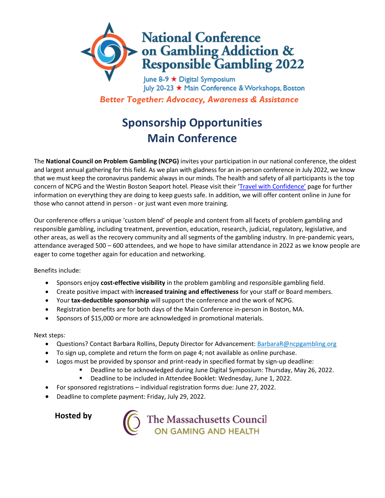

July 20-23 ★ Main Conference & Workshops, Boston *Better Together: Advocacy, Awareness & Assistance*

## **Sponsorship Opportunities Main Conference**

The **National Council on Problem Gambling (NCPG)** invites your participation in our national conference, the oldest and largest annual gathering for this field. As we plan with gladness for an in-person conference in July 2022, we know that we must keep the coronavirus pandemic always in our minds. The health and safety of all participants is the top concern of NCPG and the Westin Boston Seaport hotel. Please visit their '*Travel with Confidence'* page for further information on everything they are doing to keep guests safe. In addition, we will offer content online in June for those who cannot attend in person - or just want even more training.

Our conference offers a unique 'custom blend' of people and content from all facets of problem gambling and responsible gambling, including treatment, prevention, education, research, judicial, regulatory, legislative, and other areas, as well as the recovery community and all segments of the gambling industry. In pre-pandemic years, attendance averaged 500 – 600 attendees, and we hope to have similar attendance in 2022 as we know people are eager to come together again for education and networking.

Benefits include:

- Sponsors enjoy **cost-effective visibility** in the problem gambling and responsible gambling field.
- Create positive impact with **increased training and effectiveness** for your staff or Board members.
- Your **tax-deductible sponsorship** will support the conference and the work of NCPG.
- Registration benefits are for both days of the Main Conference in-person in Boston, MA.
- Sponsors of \$15,000 or more are acknowledged in promotional materials.

Next steps:

- Questions? Contact Barbara Rollins, Deputy Director for Advancement: BarbaraR@ncpgambling.org
- To sign up, complete and return the form on page 4; not available as online purchase.
- Logos must be provided by sponsor and print-ready in specified format by sign-up deadline:
	- Deadline to be acknowledged during June Digital Symposium: Thursday, May 26, 2022.
		- Deadline to be included in Attendee Booklet: Wednesday, June 1, 2022.
- For sponsored registrations individual registration forms due: June 27, 2022.
- Deadline to complete payment: Friday, July 29, 2022.

**Hosted by**

The Massachusetts Council<br>
ON GAMING AND HEALTH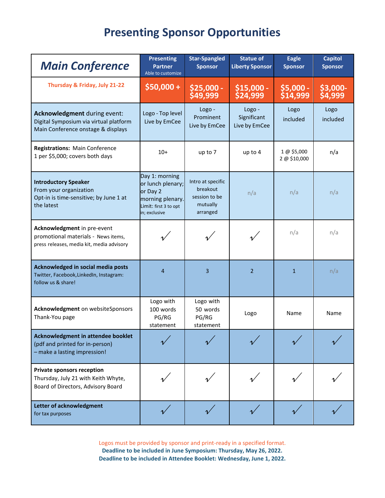## **Presenting Sponsor Opportunities**

| <b>Main Conference</b>                                                                                          | <b>Presenting</b><br><b>Partner</b><br>Able to customize                                                      | <b>Star-Spangled</b><br><b>Sponsor</b>                                 | <b>Statue of</b><br><b>Liberty Sponsor</b> | <b>Eagle</b><br><b>Sponsor</b> | <b>Capitol</b><br><b>Sponsor</b> |
|-----------------------------------------------------------------------------------------------------------------|---------------------------------------------------------------------------------------------------------------|------------------------------------------------------------------------|--------------------------------------------|--------------------------------|----------------------------------|
| Thursday & Friday, July 21-22                                                                                   | $$50,000+$                                                                                                    | \$25,000 -<br>\$49,999                                                 | $$15,000 -$<br>\$24,999                    | $$5,000 -$<br>\$14,999         | \$3,000-<br>\$4,999              |
| Acknowledgment during event:<br>Digital Symposium via virtual platform<br>Main Conference onstage & displays    | Logo - Top level<br>Live by EmCee                                                                             | Logo -<br>Prominent<br>Live by EmCee                                   | Logo -<br>Significant<br>Live by EmCee     | Logo<br>included               | Logo<br>included                 |
| <b>Registrations: Main Conference</b><br>1 per \$5,000; covers both days                                        | $10+$                                                                                                         | up to 7                                                                | up to 4                                    | 1 @ \$5,000<br>2 @ \$10,000    | n/a                              |
| <b>Introductory Speaker</b><br>From your organization<br>Opt-in is time-sensitive; by June 1 at<br>the latest   | Day 1: morning<br>or lunch plenary;<br>or Day 2<br>morning plenary.<br>Limit: first 3 to opt<br>in; exclusive | Intro at specific<br>breakout<br>session to be<br>mutually<br>arranged | n/a                                        | n/a                            | n/a                              |
| Acknowledgment in pre-event<br>promotional materials - News items,<br>press releases, media kit, media advisory |                                                                                                               |                                                                        |                                            | n/a                            | n/a                              |
| Acknowledged in social media posts<br>Twitter, Facebook, LinkedIn, Instagram:<br>follow us & share!             | 4                                                                                                             | 3                                                                      | $\overline{2}$                             | $\mathbf{1}$                   | n/a                              |
| Acknowledgment on websiteSponsors<br>Thank-You page                                                             | Logo with<br>100 words<br>PG/RG<br>statement                                                                  | Logo with<br>50 words<br>PG/RG<br>statement                            | Logo                                       | Name                           | Name                             |
| Acknowledgment in attendee booklet<br>(pdf and printed for in-person)<br>- make a lasting impression!           |                                                                                                               |                                                                        |                                            |                                |                                  |
| <b>Private sponsors reception</b><br>Thursday, July 21 with Keith Whyte,<br>Board of Directors, Advisory Board  |                                                                                                               |                                                                        |                                            |                                |                                  |
| Letter of acknowledgment<br>for tax purposes                                                                    |                                                                                                               |                                                                        |                                            |                                |                                  |

Logos must be provided by sponsor and print-ready in a specified format. **Deadline to be included in June Symposium: Thursday, May 26, 2022. Deadline to be included in Attendee Booklet: Wednesday, June 1, 2022.**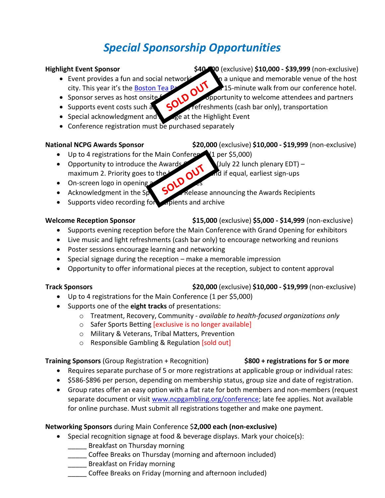# *Special Sponsorship Opportunities*

### **Highlight Event Sponsor \$40,000** (exclusive) **\$10,000 - \$39,999** (non-exclusive)

- Event provides a fun and social networking the and memorable venue of the host<br>city. This year it's the <u>Boston Teaper of</u> 15-minute walk from our conference hotel.<br>• Supports event costs such and conference to the host city. This year it's the [Boston Tea Party Museum,](https://www.bostonteapartyship.com/) a 15-minute walk from our conference hotel.
- Sponsor serves as host onsite  $\mathcal{L}$   $\Omega$  opportunity to welcome attendees and partners
- Supports event costs such as  $\mathcal{L}$  refreshments (cash bar only), transportation
- Special acknowledgment and signage at the Highlight Event
- Conference registration must be purchased separately

**National NCPG Awards Sponsor \$20,000** (exclusive) **\$10,000 - \$19,999** (non-exclusive)

- Up to 4 registrations for the Main Conference (1 per \$5,000)
- Opportunity to introduce the Awards Ceremony 22 lunch plenary EDT) maximum 2. Priority goes to the Ceremony of The Theorem is consistent in the Acknowledge Ceremony of The Ceremony of The Ceremony of The Ceremony of Th maximum 2. Priority goes to the  $h$ <sub>g</sub>  $\sim$   $\sim$  and if equal, earliest sign-ups
- On-screen logo in opening
- Acknowledgment in the Special Release announcing the Awards Recipients
- Supports video recording for  $\epsilon$  replients and archive

### **Welcome Reception Sponsor \$15,000** (exclusive) **\$5,000 - \$14,999** (non-exclusive)

- Supports evening reception before the Main Conference with Grand Opening for exhibitors
- Live music and light refreshments (cash bar only) to encourage networking and reunions
- Poster sessions encourage learning and networking
- Special signage during the reception make a memorable impression
- Opportunity to offer informational pieces at the reception, subject to content approval

- Up to 4 registrations for the Main Conference (1 per \$5,000)
- Supports one of the **eight tracks** of presentations:
	- o Treatment, Recovery, Community *available to health-focused organizations only*
	- o Safer Sports Betting [exclusive is no longer available]
	- o Military & Veterans, Tribal Matters, Prevention
	- o Responsible Gambling & Regulation [sold out]

### **Training Sponsors** (Group Registration + Recognition) **\$800 + registrations for 5 or more**

- Requires separate purchase of 5 or more registrations at applicable group or individual rates:
- \$586-\$896 per person, depending on membership status, group size and date of registration.
- Group rates offer an easy option with a flat rate for both members and non-members (request separate document or visit [www.ncpgambling.org/conference;](http://www.ncpgambling.org/conference) late fee applies. Not available for online purchase. Must submit all registrations together and make one payment.

## **Networking Sponsors** during Main Conference \$**2,000 each (non-exclusive)**

- Special recognition signage at food & beverage displays. Mark your choice(s):
	- Breakfast on Thursday morning
	- \_\_\_\_\_ Coffee Breaks on Thursday (morning and afternoon included)
	- Breakfast on Friday morning
	- Coffee Breaks on Friday (morning and afternoon included)

### **Track Sponsors \$20,000** (exclusive) **\$10,000 - \$19,999** (non-exclusive)